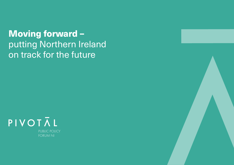





Moving forward – putting Northern Ireland on track for the future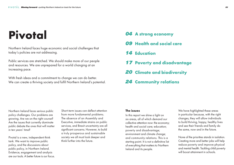Northern Ireland faces serious public policy challenges. Our problems are growing. Are we on the right course? Are the issues that currently dominate public debate the ones that will matter in ten years' time?

Pivotal is a new, independent think tank. We want to improve public policy, and the discussions about public policy, in Northern Ireland. Evidence, engagement and analysis are our tools. A better future is our focus. Short-term issues can deflect attention from more fundamental problems. The absence of an Assembly and Executive, immediate strains on public services, and Brexit uncertainty are all significant concerns. However, to build a truly prosperous and sustainable society we all must look deeper and think further into the future.

We have highlighted these areas in particular because, with the right changes, they will allow individuals to build thriving, happy, healthy lives and see their friends and family do the same, now and in the future.

### **The issues**

In this report we shine a light on six areas, all of which demand our collective attention now: the economy; health and social care; education; poverty and disadvantage; environment and climate change; and community relations. This is a starting point. It is not a definitive list of everything that matters to Northern Ireland and its people.

None of the priorities stands in isolation. Creating more and better jobs will help reduce poverty and improve physical and mental health. Tackling child poverty will boost attainment in schools.

## *04* **A strong economy**

- *09* **Health and social care**
- *14* **Education**
- *17* **Poverty and disadvantage**
- *20* **Climate and biodiversity**
- *24* **Community relations**

# **Pivotal**

Northern Ireland faces huge economic and social challenges that today's policies are not addressing.

Public services are stretched. We should make more of our people and resources. We are unprepared for a world changing at an increasing pace.

With fresh ideas and a commitment to change we can do better. We can create a thriving society and fulfil Northern Ireland's potential.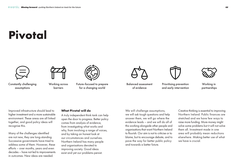# **Pivotal**





Improved infrastructure should lead to higher investment and a more sustainable environment. These areas are all linked together, and good policy ideas will recognise this.

Many of the challenges identified are not new, they are long-standing. Successive governments have tried to address some of them. However, these efforts – over months, years and even decades – have not led to improvements in outcomes. New ideas are needed.

### **What Pivotal will do**

A truly independent think tank can help open the door to progress. Better policy comes from analysis of evidence, from investigating what works and why, from involving a range of voices, and by taking an honest look at our circumstances and ourselves. Northern Ireland has many people and organisations devoted to improving society. Good ideas exist and yet our problems persist.

We will challenge assumptions, we will ask tough questions and help answer them, we will go where the evidence leads – and we will do all of this working alongside other people and organisations that want Northern Ireland to flourish. Our aim is not to criticise or to blame, but to encourage debate, and to pave the way for better public policy and towards a better future.



Working in partnerships



and early intervention



Future-focused to prepare for a changing world

Constantly challenging assumptions

Working across barriers



Balanced assessment of evidence

Creative thinking is essential to improving Northern Ireland. Public finances are stretched and we have few ways to raise more funding. More money might solve some problems but it will not solve them all. Investment made in one area will probably mean reductions elsewhere. Making better use of what we have is crucial.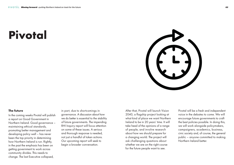#### **The future**

In the coming weeks Pivotal will publish a report on Good Government in Northern Ireland. Good governance – maintaining ethical standards, promoting better management and developing policy well – has never been the top priority in determining how Northern Ireland is run. Rightly, in the past the emphasis has been on getting government to work across community divides. This needs to change. The last Executive collapsed,

in part, due to shortcomings in governance. A discussion about how we do better is essential to the stability of future governments. The impending RHI Inquiry report will focus attention on some of these issues. A serious and thorough response is needed, not just a handful of token actions. Our upcoming report will seek to begin a broader conversation.

After that, Pivotal will launch Vision 2040, a flagship project looking at what kind of place we want Northern Ireland to be in 20 years' time. It will take heed of the opinions of a range of people, and involve research about how we should prepare for a changing world. The project will ask challenging questions about whether we are on the right course for the future people want to see.

Pivotal will be a fresh and independent voice in the debates to come. We will encourage future governments to craft the best policies possible. In doing this, we will work alongside policymakers, campaigners, academics, business, civic society and, of course, the general public – anyone committed to making Northern Ireland better.

# **Pivotal**

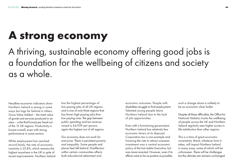## **A strong economy**

Headline economic indicators show Northern Ireland is strong in some ways but lags far behind in others. Gross Value Added – the total value of goods and services produced in an area – is the third lowest per head out of the 12 UK regions. Productivity is lowest overall, even with strong performance in some sectors.

While employment has reached record levels, the rate of economic inactivity is 25.8%, which remains the highest anywhere in the UK in spite of recent improvements. Northern Ireland

A thriving, sustainable economy offering good jobs is a foundation for the wellbeing of citizens and society as a whole.

> has the highest percentage of low-paying jobs of all UK regions and is one of only three regions that has fewer high-paying jobs than low-paying ones. The gap between public spending and tax revenue raised is £4,939 per person, again the highest out of all regions.

Despite all these difficulties, the Office for National Statistics tracks the wellbeing of people across the UK and Northern Ireland regularly sees higher scores in life satisfaction than other regions.

Our economy does not work for everyone. There is persistent poverty and inequality. Some people and places feel left behind. Disaffection within certain communities affects both educational attainment and

economic outcomes. People with disabilities struggle to find employment. Talented young people leave Northern Ireland due to the lack of job opportunities.

Even with a functioning government, Northern Ireland has relatively few economic levers at its disposal. Corporation tax is one example and lowering the rate to attract overseas investment was a central economic policy of the last stable Executive, but was never enacted. However, even if its effects were to be as positive as possible,

such a change alone is unlikely to be an economic silver bullet.

This is a time of great economic uncertainty. Brexit, whatever form it takes, will impact Northern Ireland in many ways, some of which will be unforeseen. There will be challenges but the ultimate aim remains unchanged.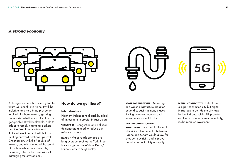### *A strong economy*



A strong economy that is ready for the future will benefit everyone. It will be inclusive, and help bring prosperity to all of Northern Ireland, ignoring boundaries whether social, cultural or geographic. It will be flexible, able to adapt to rapidly changing markets and the rise of automation and Artificial Intelligence. It will build on existing outward relationships - with Great Britain, with the Republic of Ireland, and with the rest of the world. Growth needs to be sustainable, providing jobs and income without damaging the environment.

**TRANSPORT - Congestion and pollution** demonstrate a need to reduce our reliance on cars.

## How do we get there?

#### **Infrastructure**

Northern Ireland is held back by a lack of investment in crucial infrastructure.

**DIGITAL CONNECTIVITY-** Belfast is now a super-connected city but digital infrastructure outside the city lags far behind and, while 5G provides another way to improve connectivity, it also requires investment.

**ROADS -** Major roads projects are long overdue, such as the York Street Interchange and the A5 from Derry/ Londonderry to Aughnacloy.

**SEWERAGE AND WATER -** Sewerage and water infrastructure are at or beyond capacity in many places, limiting new development and raising environmental risks.

**NORTH-SOUTH ELECTRICITY INTERCONNECTOR - The North-South** electricity interconnector between Tyrone and Meath would allow for cheaper electricity and improve security and reliability of supply.

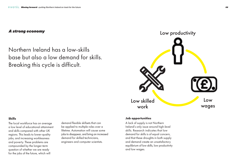Northern Ireland has a low-skills base but also a low demand for skills. Breaking this cycle is difficult.



### **Skills**

The local workforce has on average a low level of educational attainment and skills compared with other UK regions. This leads to lower-quality jobs, and increasing worklessness and poverty. These problems are compounded by the longer-term question of whether we are ready for the jobs of the future, which will

demand flexible skillsets that can be applied to multiple roles over a lifetime. Automation will cause some jobs to disappear, and bring an increased demand for skilled technicians, engineers and computer scientists.

### **Job opportunities**

A lack of supply is not Northern Ireland's only issue around high-level skills. Research indicates that low demand for skills is of equal concern, and that these droughts in both supply and demand create an unsatisfactory equilibrium of low skills, low productivity and low wages.

## *A strong economy*

Low skilled work

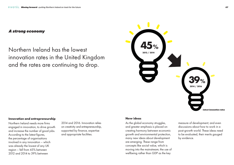**45%** Northern Ireland has the lowest innovation rates in the United Kingdom and the rates are continuing to drop.



#### **Innovation and entrepreneurship**



Northern Ireland needs more firms engaged in innovation, to drive growth and increase the number of good jobs. According to the latest figures, the percentage of organisations involved in any innovation – which was already the lowest of any UK region – fell from 45% between 2012 and 2014 to 39% between

## *A strong economy*

2014 and 2016. Innovation relies on creativity and entrepreneurship, supported by finance, expertise and appropriate facilities.

### **New ideas**

As the global economy struggles, and greater emphasis is placed on creating harmony between economic growth and environmental protection, many new ideas about development are emerging. These range from concepts like social value, which is moving into the mainstream; the use of wellbeing rather than GDP as the key

measure of development; and even discussions about how to work in a post-growth world. These ideas need to be evaluated, their merits gauged by evidence.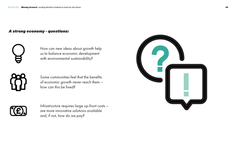How can new ideas about growth help us to balance economic development with environmental sustainability?

## *A strong economy - questions:*

Infrastructure requires large up-front costs – are more innovative solutions available and, if not, how do we pay?



Some communities feel that the benefits of economic growth never reach them – how can this be fixed?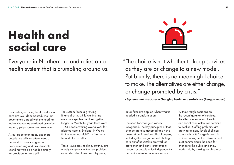The challenges facing health and social care are well documented. The last government agreed with the need for radical change, as envisioned by various experts, yet progress has been slow.

As our population ages, and more people live with long-term needs, demand for services goes up. Ever-increasing and unsustainable spending would be needed simply for provision to stand still.

The system faces a growing financial crisis, while waiting lists are unacceptable and keep getting longer. In March this year, there were 1,154 people waiting over a year for planned care in England. In Wales that number was 4,176. In Northern Ireland, it was 120,201.

These issues are shocking, but they are merely symptoms of the real problem: outmoded structures. Year by year,



quick fixes are applied when what is needed is transformation.

The need for change is widely recognised. The key principles of that change are also accepted and have been set out in various official papers, including the Bengoa report: shifting care out of hospital; more work on prevention and early intervention; support for people to live independently; and rationalisation of acute services.

Without tough decisions on the reconfiguration of services, the effectiveness of our health and social care system will continue to decline. Staffing problems are growing at many levels of clinical care, such as GP surgeries and in various nursing sectors. Government must communicate the need for change to the public and show leadership by making tough choices.

# **Health and social care**

"The choice is not whether to keep services as they are or change to a new model. Put bluntly, there is no meaningful choice to make. The alternatives are either change, or change prompted by crisis."

### **- Systems, not structures – Changing health and social care (Bengoa report)**

Everyone in Northern Ireland relies on a health system that is crumbling around us.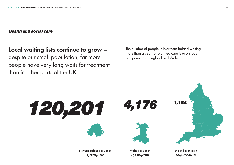

Northern Ireland population **Wales population Wales in Constanting Constanting Constanting Constanting Constanting Constanting Constanting Constanting Constanting Constanting Constanting Constanting Constanting Constanti** 



*1,879,567 3,139,308 55,997,686*

The number of people in Northern Ireland waiting more than a year for planned care is enormous compared with England and Wales.

## Local waiting lists continue to grow –

despite our small population, far more people have very long waits for treatment than in other parts of the UK.

## *Health and social care*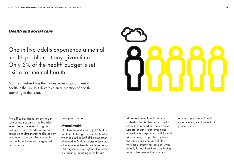The difficulties faced by our health service are not only at the broadest level. There are several ongoing policy vacuums; Northern Ireland has no up-to-date mental health strategy or cancer strategy. Many specific sectors have been long neglected or are in crisis.

Examples include:

### **Mental health**

Northern Ireland spends just 5% of its total health budget on mental health, which is less than half of the proportion allocated in England, despite estimates of local mental health problems being 25% higher than in England. The system is creaking, including in child and

effects of poor mental health on education, employment and justice issues.

adolescent mental health services. Under-funding is clearly an issue but reform is also needed - on increased support for early intervention and prevention, on responsive and informed primary care, on updated facilities, and on a consistent and skilled workforce. Improving services is vital not only for our health and wellbeing but also because of the knock-on

One in five adults experience a mental health problem at any given time. Only 5% of the health budget is set aside for mental health.

Northern Ireland has the highest rates of poor mental health in the UK, but devotes a small fraction of health spending to the issue.



## *Health and social care*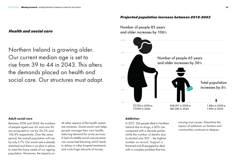### **Adult social care**

Between 2018 and 2043, the numbers of people aged over 65 and over 85 are projected to rise by 56.2% and 106.4% respectively. Over the same period, the overall population will rise by only 5.7%. Our social care is already stretched and there is no plan in place to meet the future needs of our ageing population. Moreover, the impacts on

Number of people 85 years and older increases by 106%

Northern Ireland is growing older. Our current median age is set to rise from 39 to 44 in 2043. This alters the demands placed on health and social care. Our structures must adapt.

### *Projected population increase between 2018-2043*

## *Health and social care*



all other aspects of the health system are immense. Good social care helps people manage their own health, reducing demand for acute services. A lack of suitable social care provision can cause bed blocking which leads to delays in other hospital treatments and costs huge amounts of money.

### **Addiction**

In 2017, 136 people died in Northern Ireland due to drugs, a 60% rise compared with a decade earlier, while the number of deaths due to alcohol was 303 – the highest number on record. Support is fractured and ill-equipped to deal with a complex problem that has

varying root causes. Meantime the impact of addiction on families and communities continues to deepen.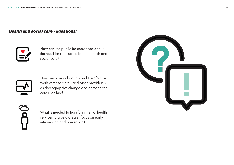How can the public be convinced about the need for structural reform of health and social care?



## *Health and social care - questions:*



What is needed to transform mental health services to give a greater focus on early intervention and prevention?



How best can individuals and their families work with the state - and other providers as demographics change and demand for care rises fast?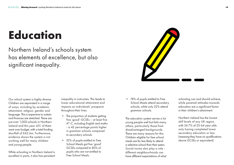Our school system is highly diverse. Children are separated in a range of ways, including by academic attainment, religion, gender and language. This is expensive to sustain and finances are stretched. There are just over 1,000 schools in Northern Ireland and this year 451 of them went over budget, with a total funding shortfall of £62.6m. Furthermore, evidence shows the system is not working well for many children and young people.

While schooling in Northern Ireland is excellent in parts, it also has persistent

- The proportion of students getting five 'good' GCSEs – at least five A\*-C, including English and maths - is 42 percentage points higher in grammar schools compared to secondary schools.
- 52% of pupils entitled to Free School Meals got five 'good' GCSEs compared to 80% of pupils who are not entitled to Free School Meals.

inequality in outcomes. This leads to lower educational attainment and impacts on individuals' prospects throughout their lives.

• 78% of pupils entitled to Free School Meals attend secondary schools, while only 22% attend grammar schools.

The education system serves a lot young people well but fails many others, particularly those from disadvantaged backgrounds. There are many reasons for this. Children eligible for free school meals are far less likely to attend a selective school than their peers. Social norms also play a role different neighbourhoods can have different expectations of what

schooling can and should achieve, while parental attitudes towards education are a significant factor in their children's attainment.

Northern Ireland has the lowest skill levels of any UK region, with 24.7% of 25-64 year olds only having completed lower secondary education or less (meaning they have no qualifications above GCSEs or equivalent).

Northern Ireland's schools system has elements of excellence, but also significant inequality.



# **Education**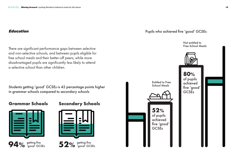Not entitled to Free School Meals



Pupils who achieved five 'good' GCSEs

**80%** of pupils achieved five 'good' **GCSEs** 



There are significant performance gaps between selective and non-selective schools, and between pupils eligible for free school meals and their better-off peers, while more disadvantaged pupils are significantly less likely to attend a selective school than other children.

## *Education*

Students getting 'good' GCSEs is 42 percentage points higher in grammar schools compared to secondary schools



## **Grammar Schools Secondary Schools**



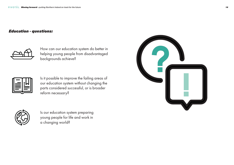## *Education - questions:*



How can our education system do better in helping young people from disadvantaged backgrounds achieve?

Is it possible to improve the failing areas of our education system without changing the parts considered successful, or is broader reform necessary?



Is our education system preparing young people for life and work in a changing world?

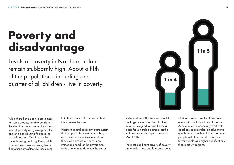# **Poverty and disadvantage**

While there have been improvements for some groups, notably pensioners, the situation has worsened for others. In-work poverty is a growing problem and one contributing factor is the cost of housing. Waiting lists for social housing are long. Rents, while comparatively low, are rising faster than other parts of the UK. Those living

Levels of poverty in Northern Ireland remain stubbornly high. About a fifth of the population - including one quarter of all children - live in poverty.

> in tight economic circumstances feel the squeeze the most.

Northern Ireland needs a welfare system that supports the most vulnerable, and provides incentives to work for those who are able. There is an immediate need for the government to decide what to do when the current

welfare reform mitigations – a special package of measures for Northern Ireland, designed to ease financial losses for vulnerable claimants as the welfare system changes - run out in March 2020.

The most significant drivers of poverty are worklessness and low-paid work.



Northern Ireland has the highest level of economic inactivity of any UK region. Access to work, especially work with good pay, is dependent on educational qualifications. Northern Ireland has more people with low qualifications and fewer people with higher qualifications than most UK regions.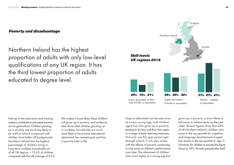Northern Ireland has the highest proportion of adults with only low-level qualifications of any UK region. It has the third lowest proportion of adults educated to degree level.



## *Poverty and disadvantage*

Lower secondary or less – only GCSEs or equivalent





Upper secondary – A levels or equivalent

Tertiary – degree or equivalent

Failures in the education and training systems contribute to persistent poverty across generations. Children growing up in poverty are much less likely to do well at school compared with children from better off backgrounds. Northern Ireland has the highest percentage of children living in long-term workless households out of all UK regions – 13.6% of children, compared with the UK average of 8.2%.

This makes it more likely these children will grow up in poverty, and evidence also shows that children growing up in workless households are much more likely to have lower educational attainment, be unemployed, and live in poverty later in life.

Gaps in attainment can be seen even at a very young age, with children aged five who grow up in poverty tending to do less well than their peers in a range of early-learning measures. Not only can this gap persist right through school, it can also widen, with the effects of poverty continuing to chip away at children's performance over time. The attainment of children who score highly at a young age but

grow up in poverty is more likely to fall away in relative terms as they get older. Recent figures show that 48% of all Northern Ireland's children who score in the top quartile for cognitive and language development at aged five remain in the top quartile at age 11. However, for children in poverty this figure drops to 35%. Poverty perpetuates itself.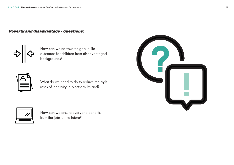## *Poverty and disadvantage - questions:*

How can we ensure everyone benefits from the jobs of the future?



What do we need to do to reduce the high rates of inactivity in Northern Ireland?



How can we narrow the gap in life outcomes for children from disadvantaged backgrounds?

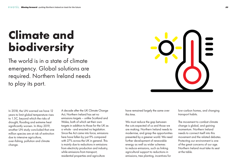# **Climate and biodiversity**

In 2018, the UN warned we have 12 years to limit global temperature rises to 1.5C, beyond which the risks of drought, flooding and extreme heat significantly worsen. In May 2019, another UN study concluded that one million species are at risk of extinction due to intensive agriculture, over-fishing, pollution and climate change.

The world is in a state of climate emergency. Global solutions are required. Northern Ireland needs to play its part.



A decade after the UK Climate Change Act, Northern Ireland has set no emissions targets – unlike Scotland and Wales, both of which set their own targets in addition to those for the UK as a whole - and enacted no legislation. Since the Act came into force, emissions here have fallen by just 9% compared with 27% across the UK in general. This is mainly due to reductions in emissions from electricity production and industry, while emissions from transport, residential properties and agriculture

have remained largely the same over this time.

We must reduce the gap between the cuts expected of us and those we are making. Northern Ireland needs to modernise, and grasp the opportunities presented by a greener world. We need further development of renewable energy as well as wider schemes to reduce emissions, such as linking agricultural support to reductions in emissions, tree planting, incentives for

low-carbon homes, and changing transport habits.

The movement to combat climate change is global, and gaining momentum. Northern Ireland needs to connect itself into this movement and the related debates. Protecting our environment is one of the great concerns of our age. Northern Ireland must take its seat at the table.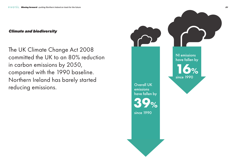



## NI emissions have fallen by

## *Climate and biodiversity*

The UK Climate Change Act 2008 committed the UK to an 80% reduction in carbon emissions by 2050, compared with the 1990 baseline. Northern Ireland has barely started reducing emissions. The contract of the contract of the contract of the contract of the contract of the contract of the contract of the contract of the contract of the contract of the contract of the contract of the contra

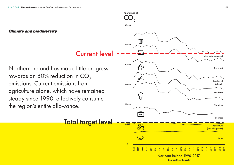Kilotonnes of

## *Climate and biodiversity*

Northern Ireland has made little progress towards an 80% reduction in  $CO<sub>2</sub>$ emissions. Current emissions from agriculture alone, which have remained steady since 1990, effectively consume the region's entire allowance.



Total target level

Current level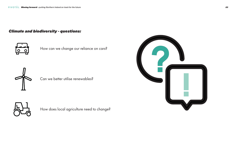## *Climate and biodiversity - questions:*



How does local agriculture need to change?



Can we better utilise renewables?



How can we change our reliance on cars?

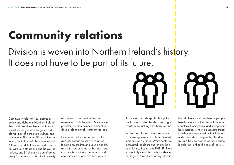# **Community relations**

Division is woven into Northern Ireland's history. It does not have to be part of its future.



Community relations cut across all policy and debate in Northern Ireland. Key public services like education and social housing remain largely divided along lines of perceived culture and community. The recent Ulster University report, Sectarianism in Northern Ireland: A Review, said that "sectarian division is still with us, both above and below the surface, and [it] shows no sign of going away." The report noted that poverty and a lack of opportunities fuel resentment and alienation. Meanwhile, persistent division deters investment and drives talent out of Northern Ireland.

Concrete and sustained efforts to address sectarianism are required focusing on children and young people, and with wider roles for business and civic society. Given the human and economic costs of a divided society,

this is clearly a deep challenge for political and other leaders seeking to create a flourishing Northern Ireland.

In Northern Ireland there are very concerning levels of hate motivated incidents and crimes. While sectarian motivated incidents and crimes had been falling, they rose in 2018-19. There is a racially motivated hate incident an average of three times a day, despite





the relatively small numbers of people here from ethnic minorities or from other countries. Homophobic and transphobic hate incidents show an upward trend, together with a perception that these are under-reported. Despite this, Northern Ireland has no dedicated hate crime legislation, unlike the rest of the UK.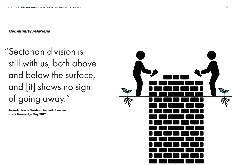## "Sectarian division is still with us, both above and below the surface, and [it] shows no sign of going away."

**Sectarianism in Northern Ireland: A review Ulster University, May 2019**



## *Community relations*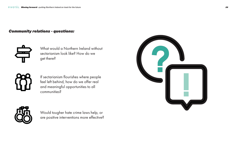## *Community relations - questions:*



Would tougher hate crime laws help, or are positive interventions more effective?



If sectarianism flourishes where people feel left behind, how do we offer real and meaningful opportunities to all communities?



What would a Northern Ireland without sectarianism look like? How do we get there?